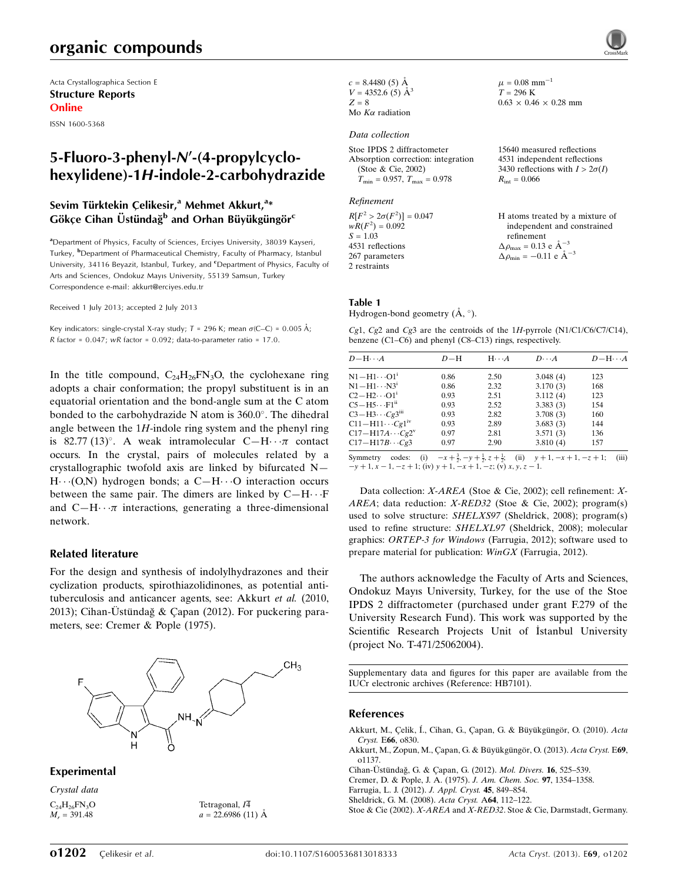## organic compounds

Acta Crystallographica Section E Structure Reports Online

ISSN 1600-5368

## 5-Fluoro-3-phenyl-N'-(4-propylcyclohexylidene)-1H-indole-2-carbohydrazide

## Sevim Türktekin Çelikesir,<sup>a</sup> Mehmet Akkurt,<sup>a</sup>\*  ${\mathsf G}$ ökçe Cihan Üstündağ $^{\text{\tiny {\sf b}}}$  and Orhan Büyükgüngör $^{\text{\tiny {\sf c}}}$

<sup>a</sup>Department of Physics, Faculty of Sciences, Erciyes University, 38039 Kayseri, Turkey, <sup>b</sup>Department of Pharmaceutical Chemistry, Faculty of Pharmacy, Istanbul University, 34116 Beyazit, Istanbul, Turkey, and <sup>c</sup>Department of Physics, Faculty of Arts and Sciences, Ondokuz Mayıs University, 55139 Samsun, Turkey Correspondence e-mail: [akkurt@erciyes.edu.tr](https://scripts.iucr.org/cgi-bin/cr.cgi?rm=pdfbb&cnor=hb7101&bbid=BB7)

Received 1 July 2013; accepted 2 July 2013

Key indicators: single-crystal X-ray study;  $T$  = 296 K; mean  $\sigma$ (C–C) = 0.005 Å; R factor =  $0.047$ ; wR factor =  $0.092$ ; data-to-parameter ratio = 17.0.

In the title compound,  $C_{24}H_{26}FN_{3}O$ , the cyclohexane ring adopts a chair conformation; the propyl substituent is in an equatorial orientation and the bond-angle sum at the C atom bonded to the carbohydrazide N atom is 360.0°. The dihedral angle between the  $1H$ -indole ring system and the phenyl ring is 82.77 (13)°. A weak intramolecular  $C-H \cdot \cdot \pi$  contact occurs. In the crystal, pairs of molecules related by a crystallographic twofold axis are linked by bifurcated N—  $H \cdots (O,N)$  hydrogen bonds; a C-H $\cdots$ O interaction occurs between the same pair. The dimers are linked by  $C-H\cdots F$ and  $C-H \cdot \cdot \pi$  interactions, generating a three-dimensional network.

#### Related literature

For the design and synthesis of indolylhydrazones and their cyclization products, spirothiazolidinones, as potential antituberculosis and anticancer agents, see: Akkurt et al. (2010, 2013); Cihan-Üstündağ & Çapan (2012). For puckering parameters, see: Cremer & Pople (1975).



Tetragonal,  $I\overline{4}$  $a = 22.6986(11)$  Å

#### Experimental

Crystal data  $C_{24}H_{26}FN_{3}O$  $M_r = 391.48$ 

 $c = 8.4480(5)$  Å  $V = 4352.6$  (5)  $\AA^3$  $Z = 8$ Mo  $K\alpha$  radiation

#### Data collection

Stoe IPDS 2 diffractometer Absorption correction: integration (Stoe & Cie, 2002)  $T_{\text{min}} = 0.957, T_{\text{max}} = 0.978$ 

#### Refinement

 $R[F^2 > 2\sigma(F^2)] = 0.047$  $wR(F^2) = 0.092$  $S = 1.03$ 4531 reflections 267 parameters 2 restraints

 $\mu = 0.08$  mm<sup>-1</sup>  $T = 296 \text{ K}$  $0.63 \times 0.46 \times 0.28$  mm

15640 measured reflections 4531 independent reflections 3430 reflections with  $I > 2\sigma(I)$  $R_{\text{int}} = 0.066$ 

#### H atoms treated by a mixture of independent and constrained refinement  $\Delta \rho_{\text{max}} = 0.13 \text{ e A}^{-3}$  $\Delta \rho_{\rm min} = -0.11 \text{ e } \text{\AA}^{-3}$

#### Table 1

Hydrogen-bond geometry  $(\AA, \degree)$ .

Cg1, Cg2 and Cg3 are the centroids of the  $1H$ -pyrrole (N1/C1/C6/C7/C14), benzene (C1–C6) and phenyl (C8–C13) rings, respectively.

| $D - H \cdots A$                 | $D - H$ | $H \cdot \cdot \cdot A$ | $D\cdots A$ | $D - H \cdots A$ |
|----------------------------------|---------|-------------------------|-------------|------------------|
| $N1 - H1 \cdots 01$ <sup>1</sup> | 0.86    | 2.50                    | 3.048(4)    | 123              |
| $N1 - H1 \cdots N3^i$            | 0.86    | 2.32                    | 3.170(3)    | 168              |
| $C2-H2\cdots O1^1$               | 0.93    | 2.51                    | 3.112(4)    | 123              |
| $C5-H5\cdots F1^{ii}$            | 0.93    | 2.52                    | 3.383(3)    | 154              |
| $C3-H3\cdots Cg3$ <sup>iii</sup> | 0.93    | 2.82                    | 3.708(3)    | 160              |
| $C11-H11\cdots Cg1^{iv}$         | 0.93    | 2.89                    | 3.683(3)    | 144              |
| $C17 - H17A \cdots Cg2^v$        | 0.97    | 2.81                    | 3.571(3)    | 136              |
| $C17 - H17B \cdots Cg3$          | 0.97    | 2.90                    | 3.810(4)    | 157              |

Symmetry codes: (i)  $-x + \frac{3}{2}$ ,  $-y + \frac{1}{2}$ ,  $z + \frac{1}{2}$ ; (ii)  $y + 1$ ,  $-x + 1$ ,  $-z + 1$ ; (iii)  $-y + 1$ ,  $x - 1$ ,  $-z + 1$ ; (iv)  $y + 1$ ,  $-x + 1$ ,  $-z$ ; (v)  $x, y, z - 1$ .

Data collection: X-AREA (Stoe & Cie, 2002); cell refinement: X-AREA; data reduction: X-RED32 (Stoe & Cie, 2002); program(s) used to solve structure: SHELXS97 (Sheldrick, 2008); program(s) used to refine structure: SHELXL97 (Sheldrick, 2008); molecular graphics: ORTEP-3 for Windows (Farrugia, 2012); software used to prepare material for publication: WinGX (Farrugia, 2012).

The authors acknowledge the Faculty of Arts and Sciences, Ondokuz Mayıs University, Turkey, for the use of the Stoe IPDS 2 diffractometer (purchased under grant F.279 of the University Research Fund). This work was supported by the Scientific Research Projects Unit of Istanbul University (project No. T-471/25062004).

Supplementary data and figures for this paper are available from the IUCr electronic archives (Reference: HB7101).

#### References

- Akkurt, M., Çelik, Í., Cihan, G., Çapan, G. & Büyükgüngör, O. (2010). Acta Cryst. E66[, o830.](https://scripts.iucr.org/cgi-bin/cr.cgi?rm=pdfbb&cnor=hb7101&bbid=BB1)
- Akkurt, M., Zopun, M., Çapan, G. & Büyükgüngör, O. (2013). Acta Cryst. E69, [o1137.](https://scripts.iucr.org/cgi-bin/cr.cgi?rm=pdfbb&cnor=hb7101&bbid=BB2)

Cihan-Üstündağ, G. & Çapan, G. (2012). Mol. Divers. 16, 525-539.

[Cremer, D. & Pople, J. A. \(1975\).](https://scripts.iucr.org/cgi-bin/cr.cgi?rm=pdfbb&cnor=hb7101&bbid=BB4) J. Am. Chem. Soc. 97, 1354–1358.

[Farrugia, L. J. \(2012\).](https://scripts.iucr.org/cgi-bin/cr.cgi?rm=pdfbb&cnor=hb7101&bbid=BB5) J. Appl. Cryst. 45, 849–854.

[Sheldrick, G. M. \(2008\).](https://scripts.iucr.org/cgi-bin/cr.cgi?rm=pdfbb&cnor=hb7101&bbid=BB6) Acta Cryst. A64, 112–122.

Stoe & Cie (2002). X-AREA and X-RED32[. Stoe & Cie, Darmstadt, Germany.](https://scripts.iucr.org/cgi-bin/cr.cgi?rm=pdfbb&cnor=hb7101&bbid=BB7)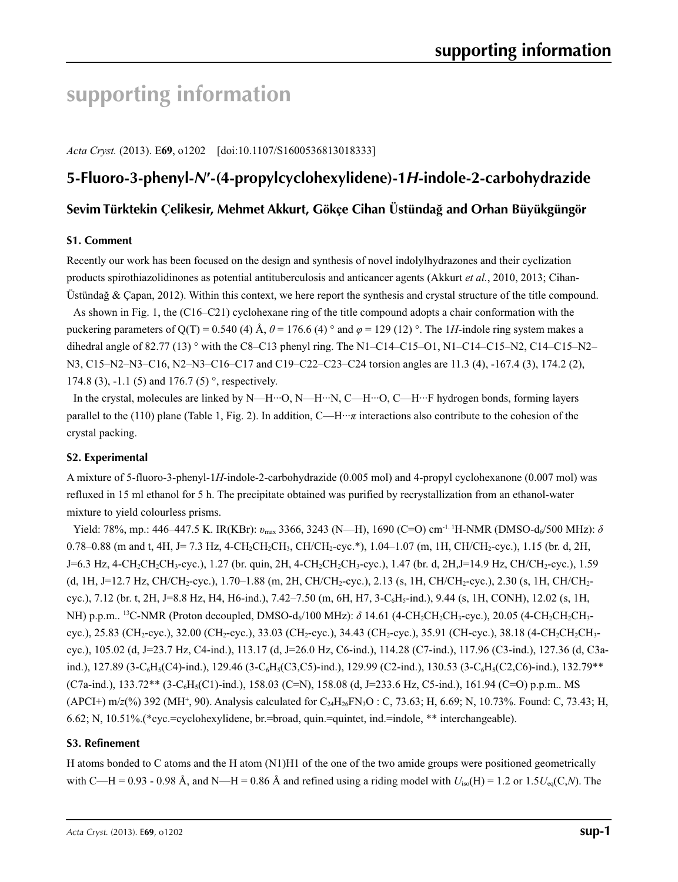# **supporting information**

*Acta Cryst.* (2013). E**69**, o1202 [doi:10.1107/S1600536813018333]

## **5-Fluoro-3-phenyl-***N***′-(4-propylcyclohexylidene)-1***H***-indole-2-carbohydrazide**

## Sevim Türktekin Çelikesir, Mehmet Akkurt, Gökçe Cihan Üstündağ and Orhan Büyükgüngör

### **S1. Comment**

Recently our work has been focused on the design and synthesis of novel indolylhydrazones and their cyclization products spirothiazolidinones as potential antituberculosis and anticancer agents (Akkurt *et al.*, 2010, 2013; Cihan-Üstündağ & Çapan, 2012). Within this context, we here report the synthesis and crystal structure of the title compound.

As shown in Fig. 1, the (C16–C21) cyclohexane ring of the title compound adopts a chair conformation with the puckering parameters of Q(T) = 0.540 (4) Å,  $\theta$  = 176.6 (4) ° and  $\varphi$  = 129 (12) °. The 1*H*-indole ring system makes a dihedral angle of 82.77 (13)  $\degree$  with the C8–C13 phenyl ring. The N1–C14–C15–O1, N1–C14–C15–N2, C14–C15–N2– N3, C15–N2–N3–C16, N2–N3–C16–C17 and C19–C22–C23–C24 torsion angles are 11.3 (4), -167.4 (3), 174.2 (2), 174.8 (3), -1.1 (5) and 176.7 (5)  $^{\circ}$ , respectively.

In the crystal, molecules are linked by N—H···O, N—H···N, C—H···O, C—H···F hydrogen bonds, forming layers parallel to the (110) plane (Table 1, Fig. 2). In addition,  $C$ —H… $\pi$  interactions also contribute to the cohesion of the crystal packing.

## **S2. Experimental**

A mixture of 5-fluoro-3-phenyl-1*H*-indole-2-carbohydrazide (0.005 mol) and 4-propyl cyclohexanone (0.007 mol) was refluxed in 15 ml ethanol for 5 h. The precipitate obtained was purified by recrystallization from an ethanol-water mixture to yield colourless prisms.

Yield: 78%, mp.: 446–447.5 K. IR(KBr): *v*<sub>max</sub> 3366, 3243 (N—H), 1690 (C=O) cm<sup>-1. 1</sup>H-NMR (DMSO-d<sub>6</sub>/500 MHz): δ 0.78–0.88 (m and t, 4H, J= 7.3 Hz, 4-CH<sub>2</sub>CH<sub>2</sub>CH<sub>3</sub>, CH/CH<sub>2</sub>-cyc.\*), 1.04–1.07 (m, 1H, CH/CH<sub>2</sub>-cyc.), 1.15 (br. d, 2H, J=6.3 Hz, 4-CH<sub>2</sub>CH<sub>2</sub>CH<sub>3</sub>-cyc.), 1.27 (br. quin, 2H, 4-CH<sub>2</sub>CH<sub>2</sub>CH<sub>3</sub>-cyc.), 1.47 (br. d, 2H,J=14.9 Hz, CH/CH<sub>2</sub>-cyc.), 1.59 (d, 1H, J=12.7 Hz, CH/CH2-cyc.), 1.70–1.88 (m, 2H, CH/CH2-cyc.), 2.13 (s, 1H, CH/CH2-cyc.), 2.30 (s, 1H, CH/CH2 cyc.), 7.12 (br. t, 2H, J=8.8 Hz, H4, H6-ind.), 7.42–7.50 (m, 6H, H7, 3-C6H5-ind.), 9.44 (s, 1H, CONH), 12.02 (s, 1H, NH) p.p.m.. <sup>13</sup>C-NMR (Proton decoupled, DMSO-d<sub>6</sub>/100 MHz): δ 14.61 (4-CH<sub>2</sub>CH<sub>3</sub>-CH<sub>2</sub>CH<sub>3</sub>-cyc.), 20.05 (4-CH<sub>2</sub>CH<sub>2</sub>CH<sub>3</sub>cyc.), 25.83 (CH<sub>2</sub>-cyc.), 32.00 (CH<sub>2</sub>-cyc.), 33.03 (CH<sub>2</sub>-cyc.), 34.43 (CH<sub>2</sub>-cyc.), 35.91 (CH-cyc.), 38.18 (4-CH<sub>2</sub>CH<sub>2</sub>-CH<sub>2</sub>cyc.), 105.02 (d, J=23.7 Hz, C4-ind.), 113.17 (d, J=26.0 Hz, C6-ind.), 114.28 (C7-ind.), 117.96 (C3-ind.), 127.36 (d, C3aind.), 127.89 (3-C<sub>6</sub>H<sub>5</sub>(C4)-ind.), 129.46 (3-C<sub>6</sub>H<sub>5</sub>(C3,C5)-ind.), 129.99 (C2-ind.), 130.53 (3-C<sub>6</sub>H<sub>5</sub>(C2,C6)-ind.), 132.79\*\*  $(C7a$ -ind.),  $133.72**$  (3-C<sub>6</sub>H<sub>5</sub>(C1)-ind.), 158.03 (C=N), 158.08 (d, J=233.6 Hz, C5-ind.), 161.94 (C=O) p.p.m.. MS  $(APCI+)$  m/*z*(%) 392 (MH<sup>+</sup>, 90). Analysis calculated for C<sub>24</sub>H<sub>26</sub>FN<sub>3</sub>O : C, 73.63; H, 6.69; N, 10.73%. Found: C, 73.43; H, 6.62; N, 10.51%.(\*cyc.=cyclohexylidene, br.=broad, quin.=quintet, ind.=indole, \*\* interchangeable).

### **S3. Refinement**

H atoms bonded to C atoms and the H atom (N1)H1 of the one of the two amide groups were positioned geometrically with C—H = 0.93 - 0.98 Å, and N—H = 0.86 Å and refined using a riding model with  $U_{iso}(H) = 1.2$  or  $1.5U_{eq}(C,N)$ . The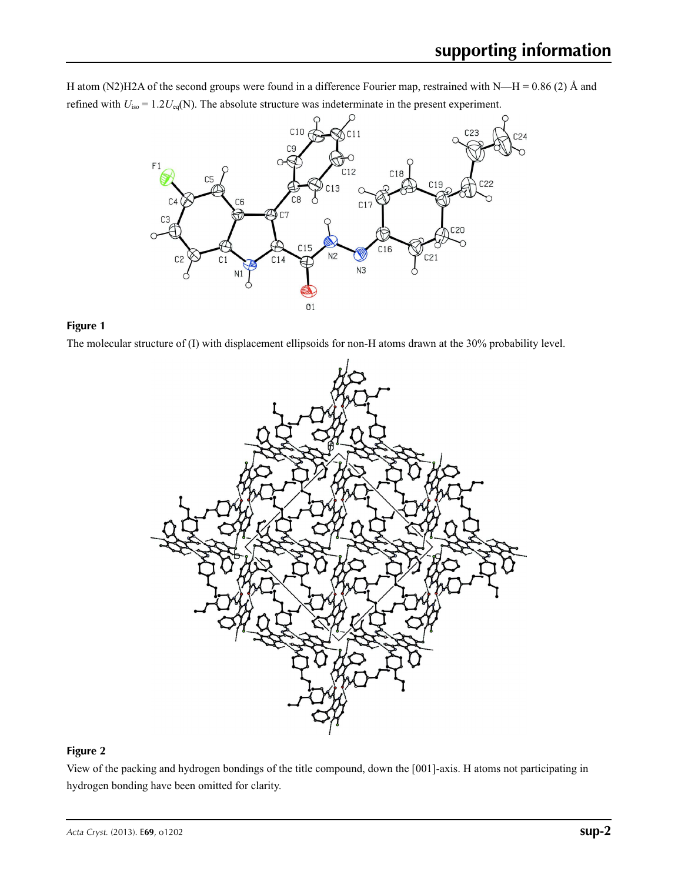H atom (N2)H2A of the second groups were found in a difference Fourier map, restrained with N—H = 0.86 (2) Å and refined with  $U_{\text{iso}} = 1.2 U_{\text{eq}}(N)$ . The absolute structure was indeterminate in the present experiment.



## **Figure 1**

The molecular structure of (I) with displacement ellipsoids for non-H atoms drawn at the 30% probability level.



## **Figure 2**

View of the packing and hydrogen bondings of the title compound, down the [001]-axis. H atoms not participating in hydrogen bonding have been omitted for clarity.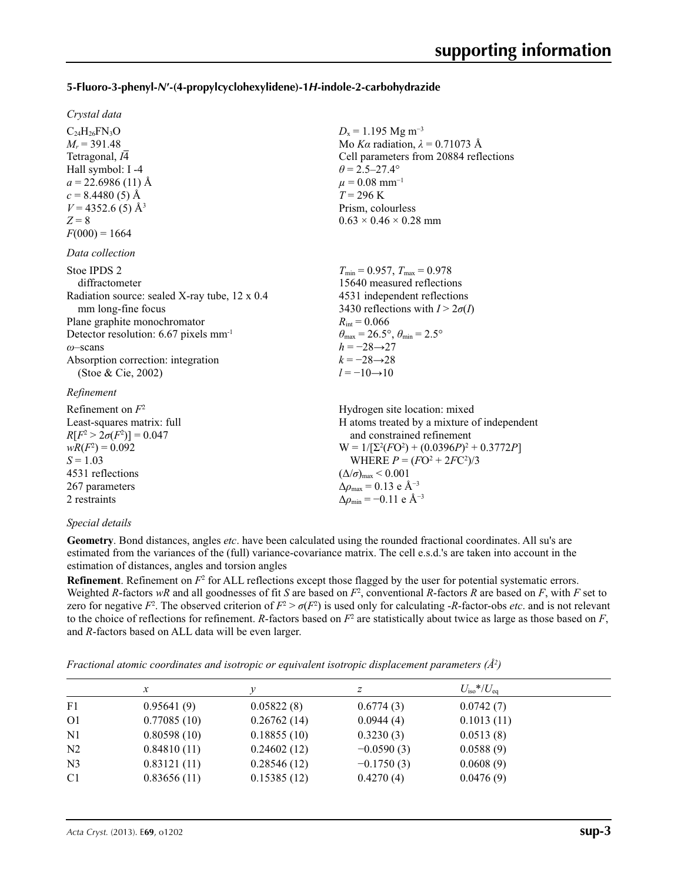### **5-Fluoro-3-phenyl-***N***′-(4-propylcyclohexylidene)-1***H***-indole-2-carbohydrazide**

 $D_x = 1.195$  Mg m<sup>-3</sup>

 $\theta$  = 2.5–27.4°  $\mu = 0.08$  mm<sup>-1</sup>  $T = 296 \text{ K}$ Prism, colourless  $0.63 \times 0.46 \times 0.28$  mm

 $R_{\text{int}} = 0.066$ 

 $h = -28 \rightarrow 27$  $k = -28 \rightarrow 28$  $l = -10 \rightarrow 10$ 

Mo *Kα* radiation,  $\lambda = 0.71073$  Å Cell parameters from 20884 reflections

 $T_{\min} = 0.957$ ,  $T_{\max} = 0.978$ 15640 measured reflections 4531 independent reflections 3430 reflections with  $I > 2\sigma(I)$ 

 $\theta_{\text{max}} = 26.5^{\circ}, \theta_{\text{min}} = 2.5^{\circ}$ 

#### *Crystal data*

 $C_{24}H_{26}FN_{3}O$  $M_r$  = 391.48 Tetragonal, *I*4 Hall symbol: I -4  $a = 22.6986(11)$  Å  $c = 8.4480(5)$  Å  $V = 4352.6$  (5) Å<sup>3</sup>  $Z = 8$  $F(000) = 1664$ 

#### *Data collection*

| Stoe IPDS 2                                       |
|---------------------------------------------------|
| diffractometer                                    |
| Radiation source: sealed X-ray tube, 12 x 0.4     |
| mm long-fine focus                                |
| Plane graphite monochromator                      |
| Detector resolution: 6.67 pixels mm <sup>-1</sup> |
| $\omega$ -scans                                   |
| Absorption correction: integration                |
| (Stoe & Cie, 2002)                                |
|                                                   |

#### *Refinement*

| Refinement on $F^2$             | Hydrogen site location: mixed                                |
|---------------------------------|--------------------------------------------------------------|
| Least-squares matrix: full      | H atoms treated by a mixture of independent                  |
| $R[F^2 > 2\sigma(F^2)] = 0.047$ | and constrained refinement                                   |
| $wR(F^2) = 0.092$               | $W = 1/[\Sigma^2(FO^2) + (0.0396P)^2 + 0.3772P]$             |
| $S = 1.03$                      | WHERE $P = (FO^2 + 2FC^2)/3$                                 |
| 4531 reflections                | $(\Delta/\sigma)_{\text{max}}$ < 0.001                       |
| 267 parameters                  | $\Delta \rho_{\text{max}} = 0.13 \text{ e } \text{\AA}^{-3}$ |
| 2 restraints                    | $\Delta \rho_{\rm min} = -0.11$ e Å <sup>-3</sup>            |
|                                 |                                                              |

### *Special details*

**Geometry**. Bond distances, angles *etc*. have been calculated using the rounded fractional coordinates. All su's are estimated from the variances of the (full) variance-covariance matrix. The cell e.s.d.'s are taken into account in the estimation of distances, angles and torsion angles

**Refinement**. Refinement on  $F^2$  for ALL reflections except those flagged by the user for potential systematic errors. Weighted *R*-factors  $wR$  and all goodnesses of fit *S* are based on  $F^2$ , conventional *R*-factors *R* are based on *F*, with *F* set to zero for negative  $F^2$ . The observed criterion of  $F^2 > \sigma(F^2)$  is used only for calculating -*R*-factor-obs *etc*. and is not relevant to the choice of reflections for refinement. *R*-factors based on  $F^2$  are statistically about twice as large as those based on  $F$ , and *R*-factors based on ALL data will be even larger.

*Fractional atomic coordinates and isotropic or equivalent isotropic displacement parameters (Å<sup>2</sup>)* 

|                | $\mathcal{X}$ |             | z            | $U_{\rm iso}*/U_{\rm eq}$ |  |
|----------------|---------------|-------------|--------------|---------------------------|--|
| F1             | 0.95641(9)    | 0.05822(8)  | 0.6774(3)    | 0.0742(7)                 |  |
| O <sub>1</sub> | 0.77085(10)   | 0.26762(14) | 0.0944(4)    | 0.1013(11)                |  |
| N <sub>1</sub> | 0.80598(10)   | 0.18855(10) | 0.3230(3)    | 0.0513(8)                 |  |
| N2             | 0.84810(11)   | 0.24602(12) | $-0.0590(3)$ | 0.0588(9)                 |  |
| N <sub>3</sub> | 0.83121(11)   | 0.28546(12) | $-0.1750(3)$ | 0.0608(9)                 |  |
| C <sub>1</sub> | 0.83656(11)   | 0.15385(12) | 0.4270(4)    | 0.0476(9)                 |  |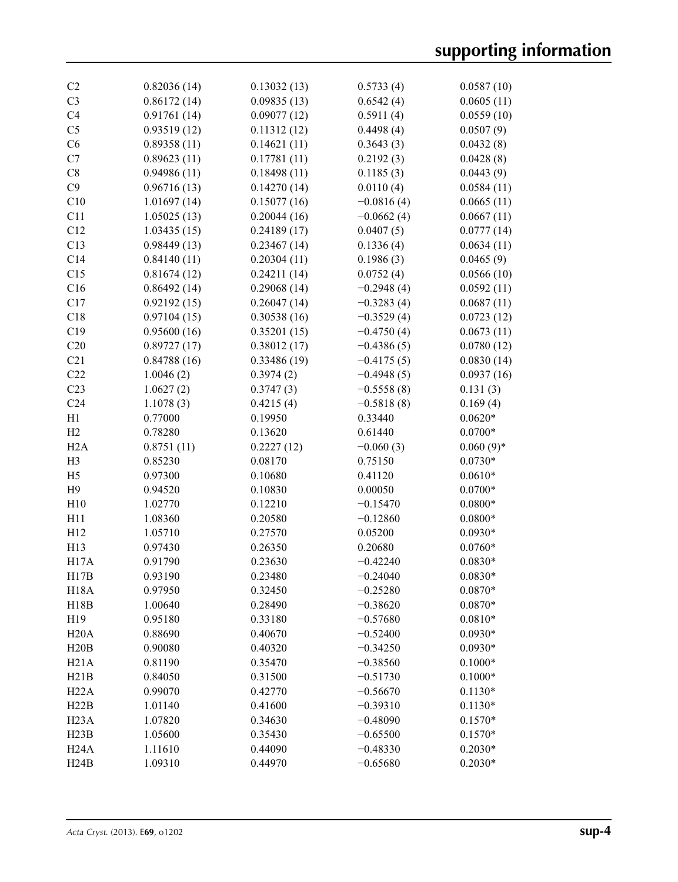| C <sub>2</sub>  | 0.82036(14) | 0.13032(13) | 0.5733(4)    | 0.0587(10)  |
|-----------------|-------------|-------------|--------------|-------------|
| C <sub>3</sub>  | 0.86172(14) | 0.09835(13) | 0.6542(4)    | 0.0605(11)  |
| C <sub>4</sub>  | 0.91761(14) | 0.09077(12) | 0.5911(4)    | 0.0559(10)  |
| C <sub>5</sub>  | 0.93519(12) | 0.11312(12) | 0.4498(4)    | 0.0507(9)   |
| C6              | 0.89358(11) | 0.14621(11) | 0.3643(3)    | 0.0432(8)   |
| C7              | 0.89623(11) | 0.17781(11) | 0.2192(3)    | 0.0428(8)   |
| C8              | 0.94986(11) | 0.18498(11) | 0.1185(3)    | 0.0443(9)   |
| C9              | 0.96716(13) | 0.14270(14) | 0.0110(4)    | 0.0584(11)  |
| C10             | 1.01697(14) | 0.15077(16) | $-0.0816(4)$ | 0.0665(11)  |
| C11             | 1.05025(13) | 0.20044(16) | $-0.0662(4)$ | 0.0667(11)  |
| C12             | 1.03435(15) | 0.24189(17) | 0.0407(5)    | 0.0777(14)  |
| C13             | 0.98449(13) | 0.23467(14) | 0.1336(4)    | 0.0634(11)  |
| C14             | 0.84140(11) | 0.20304(11) | 0.1986(3)    | 0.0465(9)   |
| C15             | 0.81674(12) | 0.24211(14) | 0.0752(4)    |             |
|                 |             |             |              | 0.0566(10)  |
| C16             | 0.86492(14) | 0.29068(14) | $-0.2948(4)$ | 0.0592(11)  |
| C17             | 0.92192(15) | 0.26047(14) | $-0.3283(4)$ | 0.0687(11)  |
| C18             | 0.97104(15) | 0.30538(16) | $-0.3529(4)$ | 0.0723(12)  |
| C19             | 0.95600(16) | 0.35201(15) | $-0.4750(4)$ | 0.0673(11)  |
| C20             | 0.89727(17) | 0.38012(17) | $-0.4386(5)$ | 0.0780(12)  |
| C21             | 0.84788(16) | 0.33486(19) | $-0.4175(5)$ | 0.0830(14)  |
| C22             | 1.0046(2)   | 0.3974(2)   | $-0.4948(5)$ | 0.0937(16)  |
| C <sub>23</sub> | 1.0627(2)   | 0.3747(3)   | $-0.5558(8)$ | 0.131(3)    |
| C <sub>24</sub> | 1.1078(3)   | 0.4215(4)   | $-0.5818(8)$ | 0.169(4)    |
| H1              | 0.77000     | 0.19950     | 0.33440      | $0.0620*$   |
| H2              | 0.78280     | 0.13620     | 0.61440      | $0.0700*$   |
| H2A             | 0.8751(11)  | 0.2227(12)  | $-0.060(3)$  | $0.060(9)*$ |
| H <sub>3</sub>  | 0.85230     | 0.08170     | 0.75150      | $0.0730*$   |
| H <sub>5</sub>  | 0.97300     | 0.10680     | 0.41120      | $0.0610*$   |
| H9              | 0.94520     | 0.10830     | 0.00050      | $0.0700*$   |
| H10             | 1.02770     | 0.12210     | $-0.15470$   | $0.0800*$   |
| H11             | 1.08360     | 0.20580     | $-0.12860$   | $0.0800*$   |
| H12             | 1.05710     | 0.27570     | 0.05200      | $0.0930*$   |
| H13             | 0.97430     | 0.26350     | 0.20680      | $0.0760*$   |
| H17A            | 0.91790     | 0.23630     | $-0.42240$   | $0.0830*$   |
| H17B            | 0.93190     | 0.23480     | $-0.24040$   | $0.0830*$   |
| <b>H18A</b>     | 0.97950     | 0.32450     | $-0.25280$   | $0.0870*$   |
| H18B            | 1.00640     | 0.28490     | $-0.38620$   | $0.0870*$   |
| H19             | 0.95180     | 0.33180     | $-0.57680$   | $0.0810*$   |
| H20A            | 0.88690     | 0.40670     | $-0.52400$   | $0.0930*$   |
| H20B            | 0.90080     | 0.40320     | $-0.34250$   | $0.0930*$   |
| H21A            | 0.81190     | 0.35470     | $-0.38560$   | $0.1000*$   |
| H21B            | 0.84050     | 0.31500     | $-0.51730$   | $0.1000*$   |
| H22A            | 0.99070     | 0.42770     | $-0.56670$   | $0.1130*$   |
| H22B            | 1.01140     | 0.41600     | $-0.39310$   | $0.1130*$   |
| H23A            | 1.07820     | 0.34630     | $-0.48090$   | $0.1570*$   |
|                 |             |             |              | $0.1570*$   |
| H23B            | 1.05600     | 0.35430     | $-0.65500$   |             |
| H24A            | 1.11610     | 0.44090     | $-0.48330$   | $0.2030*$   |
| H24B            | 1.09310     | 0.44970     | $-0.65680$   | $0.2030*$   |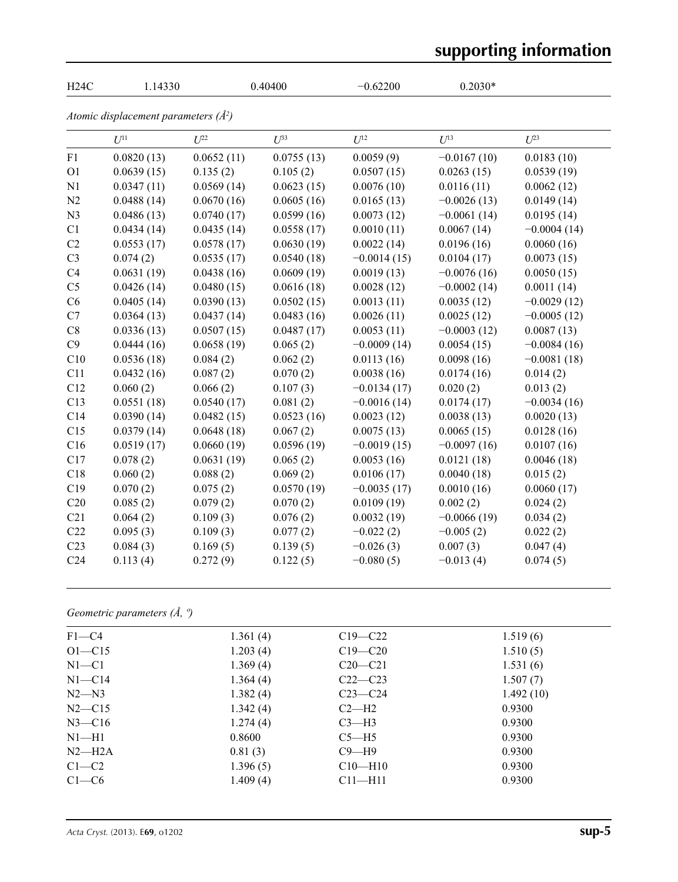# **supporting information**

| H24C            | 1.14330                                  |            | 0.40400    | $-0.62200$    | $0.2030*$     |               |
|-----------------|------------------------------------------|------------|------------|---------------|---------------|---------------|
|                 | Atomic displacement parameters $(\AA^2)$ |            |            |               |               |               |
|                 | $U^{11}$                                 | $U^{22}$   | $U^{33}$   | $U^{12}$      | $U^{13}$      | $U^{23}$      |
| F1              | 0.0820(13)                               | 0.0652(11) | 0.0755(13) | 0.0059(9)     | $-0.0167(10)$ | 0.0183(10)    |
| O <sub>1</sub>  | 0.0639(15)                               | 0.135(2)   | 0.105(2)   | 0.0507(15)    | 0.0263(15)    | 0.0539(19)    |
| N1              | 0.0347(11)                               | 0.0569(14) | 0.0623(15) | 0.0076(10)    | 0.0116(11)    | 0.0062(12)    |
| N2              | 0.0488(14)                               | 0.0670(16) | 0.0605(16) | 0.0165(13)    | $-0.0026(13)$ | 0.0149(14)    |
| N <sub>3</sub>  | 0.0486(13)                               | 0.0740(17) | 0.0599(16) | 0.0073(12)    | $-0.0061(14)$ | 0.0195(14)    |
| C1              | 0.0434(14)                               | 0.0435(14) | 0.0558(17) | 0.0010(11)    | 0.0067(14)    | $-0.0004(14)$ |
| C2              | 0.0553(17)                               | 0.0578(17) | 0.0630(19) | 0.0022(14)    | 0.0196(16)    | 0.0060(16)    |
| C <sub>3</sub>  | 0.074(2)                                 | 0.0535(17) | 0.0540(18) | $-0.0014(15)$ | 0.0104(17)    | 0.0073(15)    |
| C <sub>4</sub>  | 0.0631(19)                               | 0.0438(16) | 0.0609(19) | 0.0019(13)    | $-0.0076(16)$ | 0.0050(15)    |
| C <sub>5</sub>  | 0.0426(14)                               | 0.0480(15) | 0.0616(18) | 0.0028(12)    | $-0.0002(14)$ | 0.0011(14)    |
| C6              | 0.0405(14)                               | 0.0390(13) | 0.0502(15) | 0.0013(11)    | 0.0035(12)    | $-0.0029(12)$ |
| C7              | 0.0364(13)                               | 0.0437(14) | 0.0483(16) | 0.0026(11)    | 0.0025(12)    | $-0.0005(12)$ |
| C8              | 0.0336(13)                               | 0.0507(15) | 0.0487(17) | 0.0053(11)    | $-0.0003(12)$ | 0.0087(13)    |
| C9              | 0.0444(16)                               | 0.0658(19) | 0.065(2)   | $-0.0009(14)$ | 0.0054(15)    | $-0.0084(16)$ |
| C10             | 0.0536(18)                               | 0.084(2)   | 0.062(2)   | 0.0113(16)    | 0.0098(16)    | $-0.0081(18)$ |
| C11             | 0.0432(16)                               | 0.087(2)   | 0.070(2)   | 0.0038(16)    | 0.0174(16)    | 0.014(2)      |
| C12             | 0.060(2)                                 | 0.066(2)   | 0.107(3)   | $-0.0134(17)$ | 0.020(2)      | 0.013(2)      |
| C13             | 0.0551(18)                               | 0.0540(17) | 0.081(2)   | $-0.0016(14)$ | 0.0174(17)    | $-0.0034(16)$ |
| C14             | 0.0390(14)                               | 0.0482(15) | 0.0523(16) | 0.0023(12)    | 0.0038(13)    | 0.0020(13)    |
| C15             | 0.0379(14)                               | 0.0648(18) | 0.067(2)   | 0.0075(13)    | 0.0065(15)    | 0.0128(16)    |
| C16             | 0.0519(17)                               | 0.0660(19) | 0.0596(19) | $-0.0019(15)$ | $-0.0097(16)$ | 0.0107(16)    |
| C17             | 0.078(2)                                 | 0.0631(19) | 0.065(2)   | 0.0053(16)    | 0.0121(18)    | 0.0046(18)    |
| C18             | 0.060(2)                                 | 0.088(2)   | 0.069(2)   | 0.0106(17)    | 0.0040(18)    | 0.015(2)      |
| C19             | 0.070(2)                                 | 0.075(2)   | 0.0570(19) | $-0.0035(17)$ | 0.0010(16)    | 0.0060(17)    |
| C20             | 0.085(2)                                 | 0.079(2)   | 0.070(2)   | 0.0109(19)    | 0.002(2)      | 0.024(2)      |
| C21             | 0.064(2)                                 | 0.109(3)   | 0.076(2)   | 0.0032(19)    | $-0.0066(19)$ | 0.034(2)      |
| C22             | 0.095(3)                                 | 0.109(3)   | 0.077(2)   | $-0.022(2)$   | $-0.005(2)$   | 0.022(2)      |
| C <sub>23</sub> | 0.084(3)                                 | 0.169(5)   | 0.139(5)   | $-0.026(3)$   | 0.007(3)      | 0.047(4)      |
| C <sub>24</sub> | 0.113(4)                                 | 0.272(9)   | 0.122(5)   | $-0.080(5)$   | $-0.013(4)$   | 0.074(5)      |

## *Geometric parameters (Å, º)*

| $F1 - C4$  | 1.361(4) | $C19 - C22$   | 1.519(6)  |
|------------|----------|---------------|-----------|
| $O1 - C15$ | 1.203(4) | $C19 - C20$   | 1.510(5)  |
| $N1 - C1$  | 1.369(4) | $C20-C21$     | 1.531(6)  |
| $N1 - C14$ | 1.364(4) | $C22-C23$     | 1.507(7)  |
| $N2 - N3$  | 1.382(4) | $C23-C24$     | 1.492(10) |
| $N2 - C15$ | 1.342(4) | $C2-H2$       | 0.9300    |
| $N3 - C16$ | 1.274(4) | $C3-H3$       | 0.9300    |
| $N1-H1$    | 0.8600   | $C5 - H5$     | 0.9300    |
| $N2-H2A$   | 0.81(3)  | $C9 - H9$     | 0.9300    |
| $C1-C2$    | 1.396(5) | $C10 - H10$   | 0.9300    |
| $C1-C6$    | 1.409(4) | $C11$ —H $11$ | 0.9300    |
|            |          |               |           |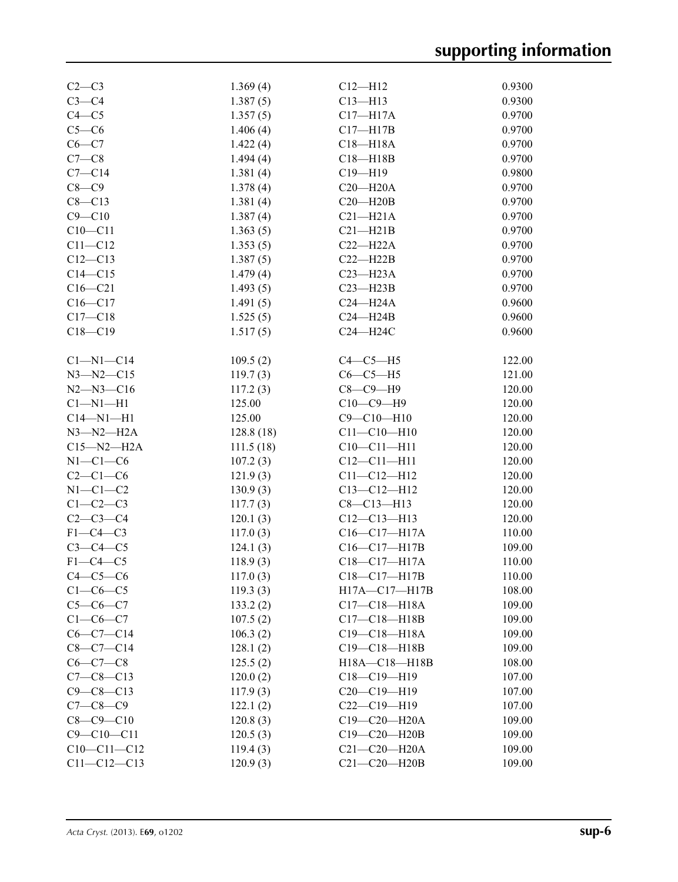| $C2-C3$           | 1.369(4)   | $C12 - H12$         | 0.9300 |
|-------------------|------------|---------------------|--------|
| $C3-C4$           | 1.387(5)   | $C13 - H13$         | 0.9300 |
| $C4 - C5$         | 1.357(5)   | $C17 - H17A$        | 0.9700 |
| $C5-C6$           | 1.406(4)   | $C17 - H17B$        | 0.9700 |
| $C6-C7$           | 1.422(4)   | $C18 - H18A$        | 0.9700 |
| $C7-C8$           | 1.494(4)   | $C18 - H18B$        | 0.9700 |
| $C7 - C14$        | 1.381(4)   | $C19 - H19$         | 0.9800 |
| $C8-C9$           | 1.378(4)   | $C20 - H20A$        | 0.9700 |
| $C8 - C13$        | 1.381(4)   | $C20 - H20B$        | 0.9700 |
| $C9 - C10$        | 1.387(4)   | $C21 - H21A$        | 0.9700 |
| $C10 - C11$       | 1.363(5)   | $C21 - H21B$        | 0.9700 |
| $C11 - C12$       | 1.353(5)   | $C22 - H22A$        | 0.9700 |
| $C12 - C13$       | 1.387(5)   | $C22 - H22B$        | 0.9700 |
| $C14 - C15$       | 1.479(4)   | $C23 - H23A$        | 0.9700 |
| $C16 - C21$       | 1.493(5)   | $C23 - H23B$        | 0.9700 |
| $C16 - C17$       | 1.491(5)   | $C24 - H24A$        | 0.9600 |
| $C17-C18$         | 1.525(5)   | $C24 - H24B$        | 0.9600 |
| $C18 - C19$       | 1.517(5)   | C24-H24C            | 0.9600 |
|                   |            |                     |        |
| $Cl-M1-C14$       | 109.5(2)   | $C4-C5-H5$          | 122.00 |
| $N3 - N2 - C15$   | 119.7(3)   | $C6-C5-H5$          | 121.00 |
| $N2 - N3 - C16$   | 117.2(3)   | $C8-C9-H9$          | 120.00 |
| $Cl-M1-H1$        | 125.00     | $C10-C9-H9$         | 120.00 |
| $C14 - N1 - H1$   | 125.00     | $C9 - C10 - H10$    | 120.00 |
| $N3 - N2 - H2A$   | 128.8 (18) | $C11 - C10 - H10$   | 120.00 |
| $C15 - N2 - H2A$  | 111.5(18)  | $C10-C11-H11$       | 120.00 |
| $N1-C1-C6$        | 107.2(3)   | $C12 - C11 - H11$   | 120.00 |
| $C2-C1-C6$        | 121.9(3)   | $C11 - C12 - H12$   | 120.00 |
| $N1-C1-C2$        | 130.9(3)   | $C13 - C12 - H12$   | 120.00 |
| $C1-C2-C3$        | 117.7(3)   | $C8 - C13 - H13$    | 120.00 |
| $C2 - C3 - C4$    | 120.1(3)   | $C12-C13-H13$       | 120.00 |
| $F1-C4-C3$        | 117.0(3)   | $C16 - C17 - H17A$  | 110.00 |
| $C3-C4-C5$        | 124.1(3)   | C16-C17-H17B        | 109.00 |
| $F1-C4-C5$        | 118.9(3)   | C18-C17-H17A        | 110.00 |
| $C4-C5-C6$        | 117.0(3)   | C18-C17-H17B        | 110.00 |
| $C1-C6-C5$        | 119.3(3)   | $H17A - C17 - H17B$ | 108.00 |
| $C5 - C6 - C7$    | 133.2(2)   | $C17 - C18 - H18A$  | 109.00 |
| $C1-C6-C7$        | 107.5(2)   | $C17 - C18 - H18B$  | 109.00 |
| $C6-C7-C14$       | 106.3(2)   | $C19 - C18 - H18A$  | 109.00 |
| $C8-C7-C14$       | 128.1(2)   | C19-C18-H18B        | 109.00 |
| $C6-C7-C8$        | 125.5(2)   | H18A-C18-H18B       | 108.00 |
| $C7 - C8 - C13$   | 120.0(2)   | $C18-C19-H19$       | 107.00 |
| $C9 - C8 - C13$   | 117.9(3)   | $C20-C19-H19$       | 107.00 |
| $C7 - C8 - C9$    | 122.1(2)   | $C22-C19-H19$       | 107.00 |
| $C8 - C9 - C10$   | 120.8(3)   | C19-C20-H20A        | 109.00 |
| $C9 - C10 - C11$  | 120.5(3)   | $C19 - C20 - H20B$  | 109.00 |
| $C10-C11-C12$     | 119.4(3)   | $C21 - C20 - H20A$  | 109.00 |
| $C11 - C12 - C13$ | 120.9(3)   | $C21 - C20 - H20B$  | 109.00 |
|                   |            |                     |        |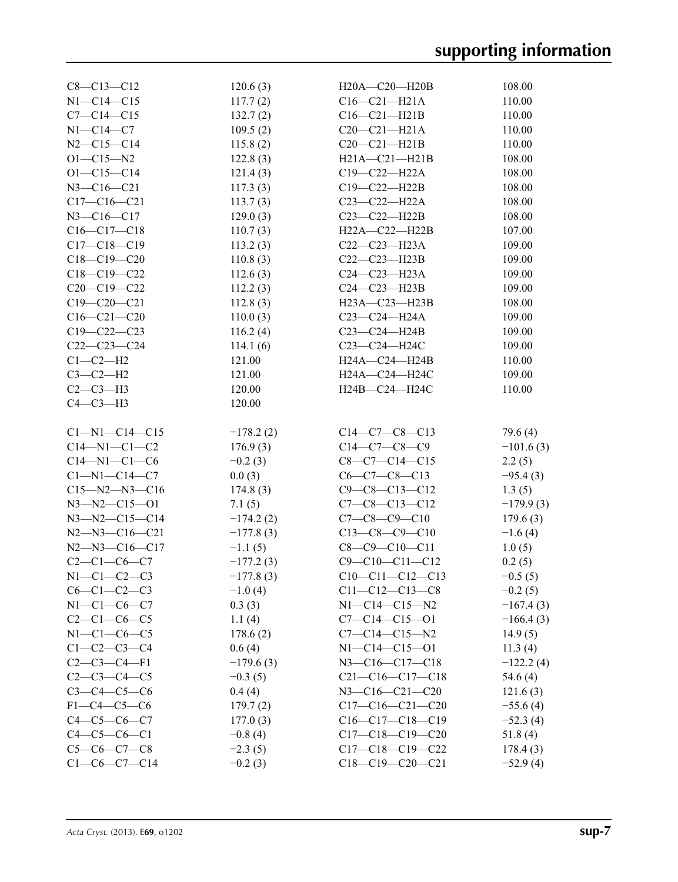| $C8 - C13 - C12$                     | 120.6(3)               | H20A-C20-H20B                               | 108.00              |
|--------------------------------------|------------------------|---------------------------------------------|---------------------|
| $N1 - C14 - C15$                     | 117.7(2)               | $C16 - C21 - H21A$                          | 110.00              |
| $C7 - C14 - C15$                     | 132.7(2)               | $C16-C21-H21B$                              | 110.00              |
| $N1 - C14 - C7$                      | 109.5(2)               | $C20-C21-H21A$                              | 110.00              |
| $N2 - C15 - C14$                     | 115.8(2)               | $C20-C21-H21B$                              | 110.00              |
| $O1 - C15 - N2$                      | 122.8(3)               | $H21A - C21 - H21B$                         | 108.00              |
| $O1 - C15 - C14$                     | 121.4(3)               | $C19 - C22 - H22A$                          | 108.00              |
| $N3 - C16 - C21$                     | 117.3(3)               | $C19-C22-H22B$                              | 108.00              |
| $C17-C16-C21$                        | 113.7(3)               | $C23 - C22 - H22A$                          | 108.00              |
| $N3 - C16 - C17$                     | 129.0(3)               | $C23 - C22 - H22B$                          | 108.00              |
| $C16-C17-C18$                        | 110.7(3)               | H22A-C22-H22B                               | 107.00              |
| $C17 - C18 - C19$                    | 113.2(3)               | C22-C23-H23A                                | 109.00              |
| $C18 - C19 - C20$                    | 110.8(3)               | $C22-C23-H23B$                              | 109.00              |
| $C18-C19-C22$                        | 112.6(3)               | $C24 - C23 - H23A$                          | 109.00              |
| $C20-C19-C22$                        | 112.2(3)               | $C24-C23-H23B$                              | 109.00              |
| $C19 - C20 - C21$                    | 112.8(3)               | H23A-C23-H23B                               | 108.00              |
| $C16 - C21 - C20$                    | 110.0(3)               | $C23-C24-H24A$                              | 109.00              |
| $C19 - C22 - C23$                    | 116.2(4)               | $C23-C24-H24B$                              | 109.00              |
| $C22-C23-C24$                        | 114.1(6)               | C23-C24-H24C                                | 109.00              |
| $C1-C2-H2$                           | 121.00                 | $H24A - C24 - H24B$                         | 110.00              |
| $C3-C2-H2$                           | 121.00                 | H24A-C24-H24C                               | 109.00              |
| $C2-C3-H3$                           | 120.00                 | H24B-C24-H24C                               | 110.00              |
| $C4-C3-H3$                           | 120.00                 |                                             |                     |
|                                      |                        |                                             |                     |
|                                      |                        |                                             |                     |
|                                      |                        |                                             |                     |
| $Cl-M1-C14-C15$                      | $-178.2(2)$            | $C14-C7-C8-C13$                             | 79.6 (4)            |
| $C14 - N1 - C1 - C2$                 | 176.9(3)               | $C14-C7-C8-C9$                              | $-101.6(3)$         |
| $C14 - N1 - C1 - C6$                 | $-0.2(3)$              | $C8-C7-C14-C15$                             | 2.2(5)              |
| $C1 - N1 - C14 - C7$                 | 0.0(3)                 | $C6-C7-C8-C13$                              | $-95.4(3)$          |
| $C15 - N2 - N3 - C16$                | 174.8(3)               | $C9 - C8 - C13 - C12$                       | 1.3(5)              |
| $N3 - N2 - C15 - O1$                 | 7.1(5)                 | $C7-C8-C13-C12$                             | $-179.9(3)$         |
| $N3 - N2 - C15 - C14$                | $-174.2(2)$            | $C7-C8-C9-C10$                              | 179.6(3)            |
| $N2 - N3 - C16 - C21$                | $-177.8(3)$            | $C13-C8-C9-C10$                             | $-1.6(4)$           |
| $N2 - N3 - C16 - C17$                | $-1.1(5)$              | $C8-C9-C10-C11$                             | 1.0(5)              |
| $C2 - C1 - C6 - C7$                  | $-177.2(3)$            | $C9 - C10 - C11 - C12$                      | 0.2(5)              |
| $N1-C1-C2-C3$                        | $-177.8(3)$            | $C10-C11-C12-C13$                           | $-0.5(5)$           |
| $C6-C1-C2-C3$                        | $-1.0(4)$              | $C11 - C12 - C13 - C8$                      | $-0.2(5)$           |
| $N1-C1-C6-C7$                        | 0.3(3)                 | $N1 - C14 - C15 - N2$                       | $-167.4(3)$         |
| $C2-C1-C6-C5$                        | 1.1(4)                 | $C7 - C14 - C15 - 01$                       | $-166.4(3)$         |
| $N1-C1-C6-C5$                        | 178.6(2)               | $C7 - C14 - C15 - N2$                       | 14.9(5)             |
| $C1 - C2 - C3 - C4$                  | 0.6(4)                 | $N1 - C14 - C15 - 01$                       | 11.3(4)             |
| $C2-C3-C4-F1$                        | $-179.6(3)$            | $N3 - C16 - C17 - C18$                      | $-122.2(4)$         |
| $C2-C3-C4-C5$                        | $-0.3(5)$              | $C21-C16-C17-C18$                           | 54.6 (4)            |
| $C3 - C4 - C5 - C6$<br>$F1-C4-C5-C6$ | 0.4(4)                 | $N3 - C16 - C21 - C20$<br>$C17-C16-C21-C20$ | 121.6(3)            |
| $C4 - C5 - C6 - C7$                  | 179.7(2)               | $C16-C17-C18-C19$                           | $-55.6(4)$          |
| $C4 - C5 - C6 - C1$                  | 177.0(3)               | $C17-C18-C19-C20$                           | $-52.3(4)$          |
| $C5-C6-C7-C8$                        | $-0.8(4)$<br>$-2.3(5)$ | $C17-C18-C19-C22$                           | 51.8(4)<br>178.4(3) |